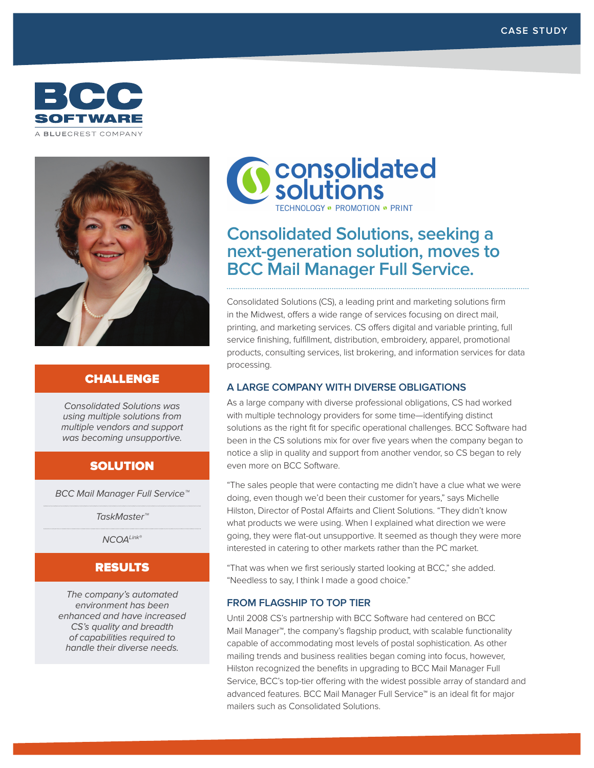



## CHALLENGE

Consolidated Solutions was using multiple solutions from multiple vendors and support was becoming unsupportive.

### SOLUTION

BCC Mail Manager Full Service™

TaskMaster™

NCOA<sup>Link®</sup>

## RESULTS

The company's automated environment has been enhanced and have increased CS's quality and breadth of capabilities required to handle their diverse needs.



# **Consolidated Solutions, seeking a next-generation solution, moves to BCC Mail Manager Full Service.**

Consolidated Solutions (CS), a leading print and marketing solutions firm in the Midwest, offers a wide range of services focusing on direct mail, printing, and marketing services. CS offers digital and variable printing, full service finishing, fulfillment, distribution, embroidery, apparel, promotional products, consulting services, list brokering, and information services for data processing.

#### **A LARGE COMPANY WITH DIVERSE OBLIGATIONS**

As a large company with diverse professional obligations, CS had worked with multiple technology providers for some time—identifying distinct solutions as the right fit for specific operational challenges. BCC Software had been in the CS solutions mix for over five years when the company began to notice a slip in quality and support from another vendor, so CS began to rely even more on BCC Software.

"The sales people that were contacting me didn't have a clue what we were doing, even though we'd been their customer for years," says Michelle Hilston, Director of Postal Affairts and Client Solutions. "They didn't know what products we were using. When I explained what direction we were going, they were flat-out unsupportive. It seemed as though they were more interested in catering to other markets rather than the PC market.

"That was when we first seriously started looking at BCC," she added. "Needless to say, I think I made a good choice."

#### **FROM FLAGSHIP TO TOP TIER**

Until 2008 CS's partnership with BCC Software had centered on BCC Mail Manager™, the company's flagship product, with scalable functionality capable of accommodating most levels of postal sophistication. As other mailing trends and business realities began coming into focus, however, Hilston recognized the benefits in upgrading to BCC Mail Manager Full Service, BCC's top-tier offering with the widest possible array of standard and advanced features. BCC Mail Manager Full Service™ is an ideal fit for major mailers such as Consolidated Solutions.